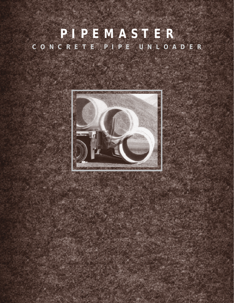# **P I P E M A S T E R C O N C R E T E P I P E U N L O A D E R**

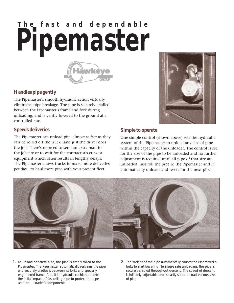# **The fast and dependable Pipemaster**



#### **Handles pipe gently**

The Pipemaster's smooth hydraulic action virtually eliminates pipe breakage. The pipe is securely cradled between the Pipemaster's frame and fork during unloading; and is gently lowered to the ground at a controlled rate.

#### **Speeds deliveries**

The Pipemaster can unload pipe almost as fast as they can be rolled off the truck...and just the driver does the job! There's no need to send an extra man to the job site or to wait for the contractor's crew or equipment which often results in lengthy delays. The Pipemaster allows trucks to make more deliveries per day...to haul more pipe with your present fleet.



#### **Simple to operate**

One simple control (shown above) sets the hydraulic system of the Pipemaster to unload any size of pipe within the capacity of the unloader. The control is set for the size of the pipe to be unloaded and no further adjustment is required until all pipe of that size are unloaded. Just roll the pipe to the Pipemaster and it automatically unloads and resets for the next pipe.



- **1.** To unload concrete pipe, the pipe is simply rolled to the Pipemaster. The Pipemaster automatically restrains the pipe and securely cradles it between its forks and specially engineered frame. A built-in hydraulic cushion absorbs the initial impact of fast-rolling pipe to protect the pipe and the unloader's components.
- **2.** The weight of the pipe automatically causes the Pipemaster's forks to start lowering. To insure safe unloading, the pipe is securely cradled throughout descent. The speed of descent is infinitely adjustable and is easily set to unload various sizes of pipe.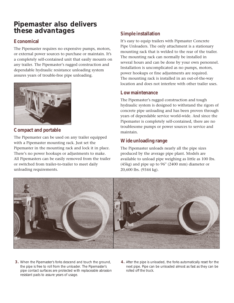## **Pipemaster also delivers these advantages**

#### **Economical**

The Pipemaster requires no expensive pumps, motors, or external power sources to purchase or maintain. It's a completely self-contained unit that easily mounts on any trailer. The Pipemaster's rugged construction and dependable hydraulic resistance unloading system assures years of trouble-free pipe unloading.



#### **Compact and portable**

The Pipemaster can be used on any trailer equipped with a Pipemaster mounting rack. Just set the Pipemaster in the mounting rack and lock it in place. There's no power hookups or adjustments to make. All Pipemasters can be easily removed from the trailer or switched from trailer-to-trailer to meet daily unloading requirements.

#### **Simple installation**

It's easy to equip trailers with Pipmaster Concrete Pipe Unloaders. The only attachment is a stationary mounting rack that is welded to the rear of the trailer. The mounting rack can normally be installed in several hours and can be done by your own personnel. Installation is uncomplicated as no pumps, motors, power hookups or fine adjustments are required. The mounting rack is installed in an out-of-the-way location and does not interfere with other trailer uses.

#### **Low maintenance**

The Pipemaster's rugged construction and tough hydraulic system is designed to withstand the rigors of concrete pipe unloading and has been proven through years of dependable service world-wide. And since the Pipemaster is completely self-contained, there are no troublesome pumps or power sources to service and maintain.

#### **Wide unloading range**

The Pipemaster unloads nearly all the pipe sizes produced by the average pipe plant. Models are available to unload pipe weighing as little as 100 lbs. (45kg) and pipe up to 96'' (2400 mm) diameter or 20,600 lbs. (9344 kg).



- **3.** When the Pipemaster's forks descend and touch the ground, the pipe is free to roll from the unloader. The Pipemaster's pipe contact surfaces are protected with replaceable abrasion resistant pads to assure years of usage.
- **4.** After the pipe is unloaded, the forks automatically reset for the next pipe. Pipe can be unloaded almost as fast as they can be rolled off the truck.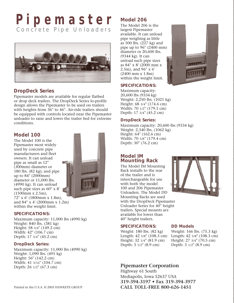# **P i p e m a s t e r** Concrete Pipe Unloaders



#### **DropDeck Series**

Pipemaster models are available for regular flatbed or drop deck trailers. The DropDeck Series lo-profile design allows the Pipemaster to be used on trailers with heights from 36'' to 46''. Air-ride trailers should be equipped with controls located near the Pipemaster unloader to raise and lower the trailer bed for extreme conditions.

#### **Model 100**

The Model 100 is the Pipemaster most widely used by concrete pipe manufacturers and fleet owners. It can unload pipe as small as 12'' (300mm) diameter or 180 lbs. (82 kg); and pipe up to 84'' (2000mm) diameter or 11,000 lbs. (4990 kg). It can unload such pipe sizes as  $60'' \times 8'$ (1500mm x 2.5m), 72'' x 6' (1800mm x 1.8m), and 84'' x 4' (2000mm x 1.2m) within the weight limit.



#### **SPECIFICATIONS:**

Maximum capacity: 11,000 lbs (4990 kg) Weight: 840 lbs. (381 kg) Height: 58 3/4'' (149.2 cm) Width: 42'' (106.7 cm) Depth: 17 3/4'' (45.2 cm)

#### **DropDeck Series:**

Maximum capacity: 11,000 lbs (4990 kg) Weight: 1,090 lbs. (495 kg) Height: 56'' (142.2 cm) Width: 41 3/16'' (104.7 cm) Depth: 26 1/2'' (67.3 cm)

### **Model 206**

The Model 206 is the largest Pipemaster available. It can unload pipe weighing as little as 500 lbs. (227 kg) and pipe up to 96'' (2400 mm) diameter or 20,600 lbs. (9344 kg). It can unload such pipe sizes as 84'' x 8' (2000 mm x 2.5m), and 96'' x 6' (2400 mm x 1.8m) within the weight limit.



#### **SPECIFICATIONS:**

Maximum capacity: 20,600 lbs (9334 kg) Weight: 2,250 lbs. (1021 kg) Height: 68 3/4'' (174.6 cm) Width: 70 1/2'' (179.1 cm) Depth: 17 3/4'' (45.2 cm)

#### **DropDeck Series:**

Maximum capacity: 20,600 lbs (9334 kg) Weight: 2,340 lbs. (1062 kg) Height: 64'' (162.6 cm) Width: 70 5/8'' (179.4 cm) Depth: 30'' (76.2 cm)

#### **Model IM Mounting Rack**

The Model IM Mounting Rack installs to the rear of the trailer and is interchangeable for use with both the model 100 and 206 Pipemaster Unloaders. The Model DD Mounting Racks are used with the DropDeck Pipemaster Unloader Series for 40'' height trailers. Special mounts are available for lower than 40'' height trailers.

#### **SPECIFICATIONS:**

Weight: 180 lbs. (82 kg) Length: 42 5/8'' (108.3 cm) Height: 32 1/4" (81.9 cm) Depth: 3 1/2'' (8.9 cm)

## **DD Models**

Weight: 166 lbs. (75.3 kg) Length: 42 5/8'' (108.3 cm) Height: 27 3/4'' (70.5 cm) Depth: 3 1/2'' (8.9 cm)

#### **Pipemaster Corporation**

Highway 61 South Mediapolis, Iowa 52637 USA **319-394-3197 • Fax 319-394-3977** Printed in the U.S.A. © 2003 HAWKEYE GROUP **CALL TOLL-FREE 800-626-1451**